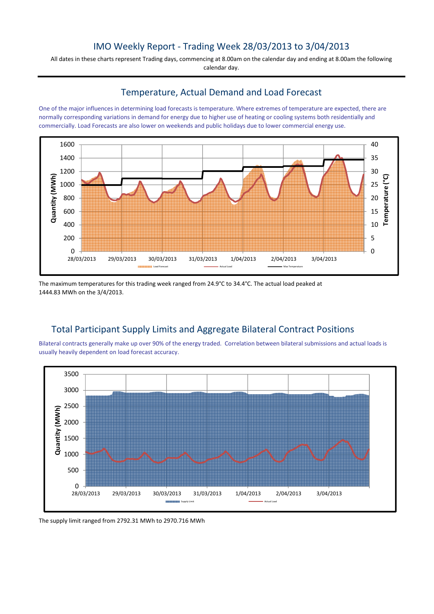## IMO Weekly Report - Trading Week 28/03/2013 to 3/04/2013

All dates in these charts represent Trading days, commencing at 8.00am on the calendar day and ending at 8.00am the following calendar day.

### Temperature, Actual Demand and Load Forecast

One of the major influences in determining load forecasts is temperature. Where extremes of temperature are expected, there are normally corresponding variations in demand for energy due to higher use of heating or cooling systems both residentially and commercially. Load Forecasts are also lower on weekends and public holidays due to lower commercial energy use.



The maximum temperatures for this trading week ranged from 24.9°C to 34.4°C. The actual load peaked at 1444.83 MWh on the 3/4/2013.

## Total Participant Supply Limits and Aggregate Bilateral Contract Positions

Bilateral contracts generally make up over 90% of the energy traded. Correlation between bilateral submissions and actual loads is usually heavily dependent on load forecast accuracy.



The supply limit ranged from 2792.31 MWh to 2970.716 MWh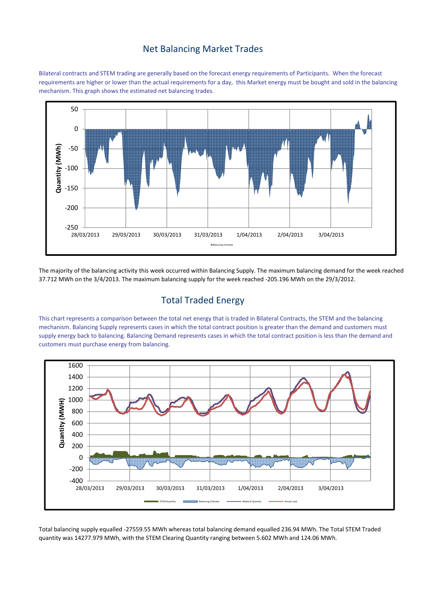## Net Balancing Market Trades

Bilateral contracts and STEM trading are generally based on the forecast energy requirements of Participants. When the forecast requirements are higher or lower than the actual requirements for a day, this Market energy must be bought and sold in the balancing mechanism. This graph shows the estimated net balancing trades.



The majority of the balancing activity this week occurred within Balancing Supply. The maximum balancing demand for the week reached 37.712 MWh on the 3/4/2013. The maximum balancing supply for the week reached -205.196 MWh on the 29/3/2012.

## Total Traded Energy

This chart represents a comparison between the total net energy that is traded in Bilateral Contracts, the STEM and the balancing mechanism. Balancing Supply represents cases in which the total contract position is greater than the demand and customers must supply energy back to balancing. Balancing Demand represents cases in which the total contract position is less than the demand and customers must purchase energy from balancing.



Total balancing supply equalled -27559.55 MWh whereas total balancing demand equalled 236.94 MWh. The Total STEM Traded quantity was 14277.979 MWh, with the STEM Clearing Quantity ranging between 5.602 MWh and 124.06 MWh.